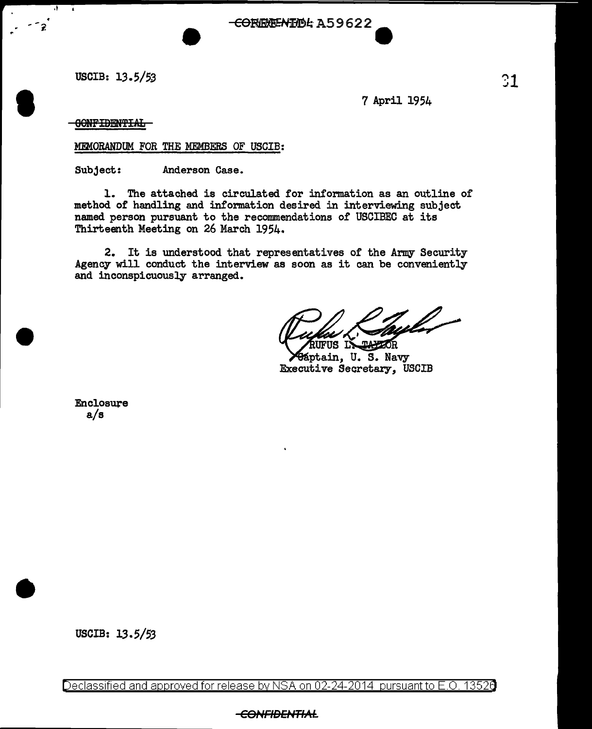-CORENEENTIBL A59622

USCIB: 13.5/53

 $\overline{\mathbf{u}}$ 

 $\tilde{z}$ 

 $\overline{\bullet}$ 

**•** 

7 April 1954

OONFIDENTIAL

MEMORANDUM FOR THE MEMBERS OF USCIB:

Subject: Anderson Case.

1. The attached is circulated for information as an outline of method of handling and information desired in interviewing subject named person pursuant to the recommendations of USCIBEC at its Thirteenth Meeting on 26 March 1954.

2. It is understood that representatives of the Army Security Agency will conduct the interview as soon as it can be conveniently and inconspicuously arranged.

**IFUS IN TAPLOR** 

Sáptain, U.S. Navy Executive Secretary, USCIB

Enclosure a/s

USCIB: *13.5/53* 

•

Declassified and approved for release by NSA on 02-24-2014 pursuant to E.O. 1352e

**CONFIDENTIAL**